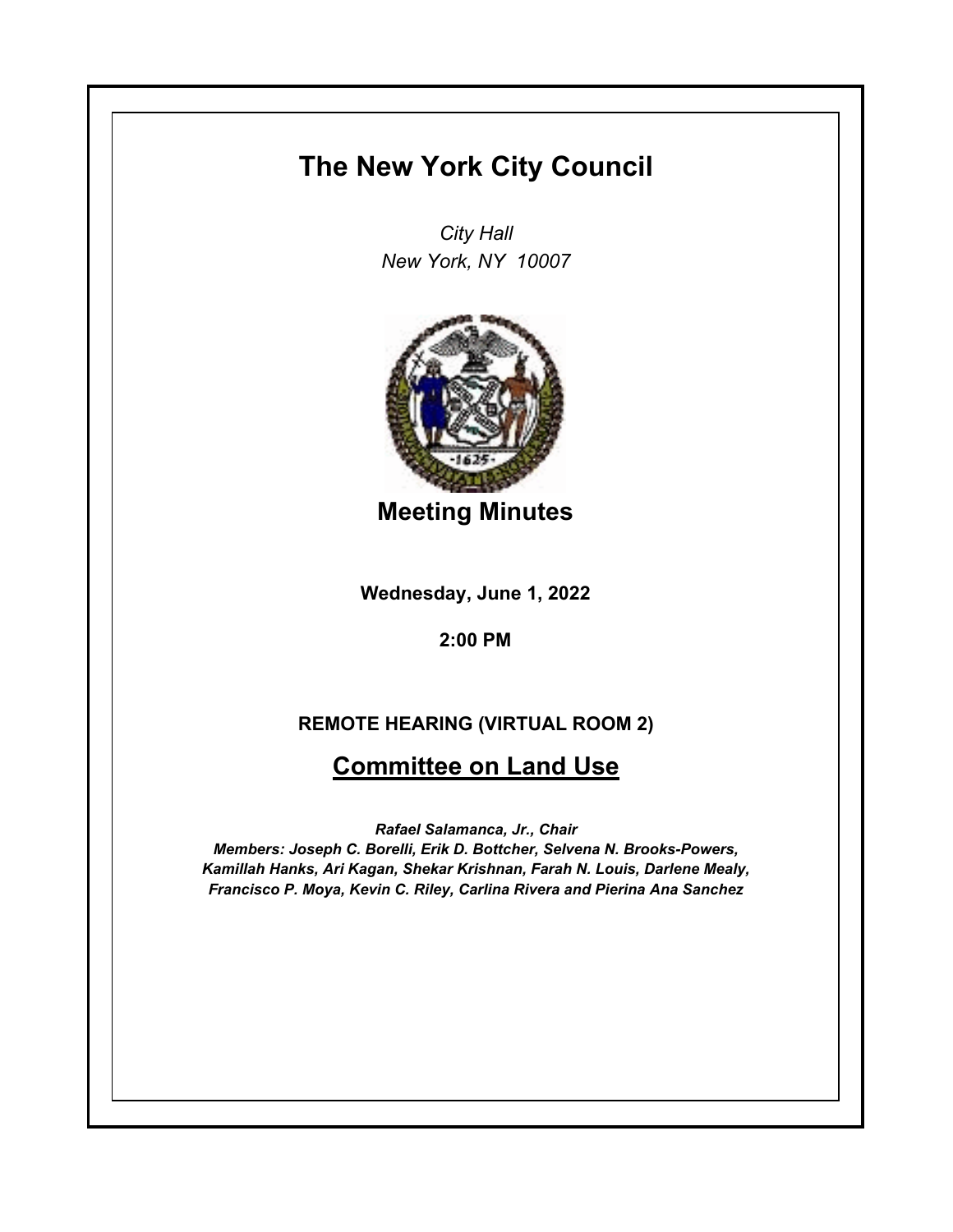# **The New York City Council**

*City Hall New York, NY 10007*



**Meeting Minutes**

**Wednesday, June 1, 2022**

**2:00 PM**

# **REMOTE HEARING (VIRTUAL ROOM 2)**

# **Committee on Land Use**

*Rafael Salamanca, Jr., Chair*

*Members: Joseph C. Borelli, Erik D. Bottcher, Selvena N. Brooks-Powers, Kamillah Hanks, Ari Kagan, Shekar Krishnan, Farah N. Louis, Darlene Mealy, Francisco P. Moya, Kevin C. Riley, Carlina Rivera and Pierina Ana Sanchez*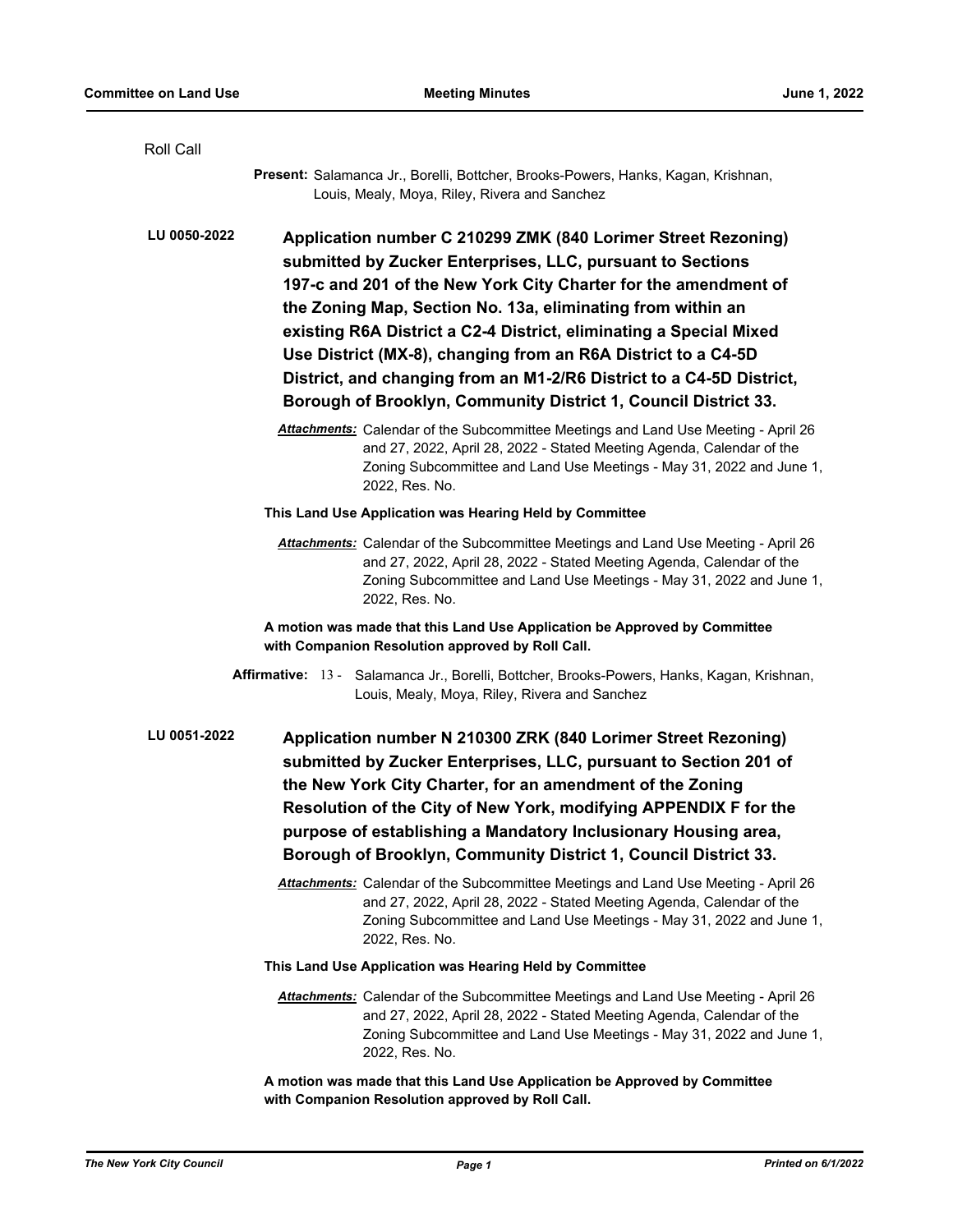| <b>Roll Call</b> |                                                                                                                                                                                                                                                                                                                                                                                                                                                                                                                                                 |
|------------------|-------------------------------------------------------------------------------------------------------------------------------------------------------------------------------------------------------------------------------------------------------------------------------------------------------------------------------------------------------------------------------------------------------------------------------------------------------------------------------------------------------------------------------------------------|
|                  | Present: Salamanca Jr., Borelli, Bottcher, Brooks-Powers, Hanks, Kagan, Krishnan,<br>Louis, Mealy, Moya, Riley, Rivera and Sanchez                                                                                                                                                                                                                                                                                                                                                                                                              |
| LU 0050-2022     | Application number C 210299 ZMK (840 Lorimer Street Rezoning)<br>submitted by Zucker Enterprises, LLC, pursuant to Sections<br>197-c and 201 of the New York City Charter for the amendment of<br>the Zoning Map, Section No. 13a, eliminating from within an<br>existing R6A District a C2-4 District, eliminating a Special Mixed<br>Use District (MX-8), changing from an R6A District to a C4-5D<br>District, and changing from an M1-2/R6 District to a C4-5D District,<br>Borough of Brooklyn, Community District 1, Council District 33. |
|                  | Attachments: Calendar of the Subcommittee Meetings and Land Use Meeting - April 26<br>and 27, 2022, April 28, 2022 - Stated Meeting Agenda, Calendar of the<br>Zoning Subcommittee and Land Use Meetings - May 31, 2022 and June 1,<br>2022, Res. No.                                                                                                                                                                                                                                                                                           |
|                  | This Land Use Application was Hearing Held by Committee                                                                                                                                                                                                                                                                                                                                                                                                                                                                                         |
|                  | Attachments: Calendar of the Subcommittee Meetings and Land Use Meeting - April 26<br>and 27, 2022, April 28, 2022 - Stated Meeting Agenda, Calendar of the<br>Zoning Subcommittee and Land Use Meetings - May 31, 2022 and June 1,<br>2022, Res. No.                                                                                                                                                                                                                                                                                           |
|                  | A motion was made that this Land Use Application be Approved by Committee<br>with Companion Resolution approved by Roll Call.                                                                                                                                                                                                                                                                                                                                                                                                                   |
|                  | Affirmative: 13 - Salamanca Jr., Borelli, Bottcher, Brooks-Powers, Hanks, Kagan, Krishnan,<br>Louis, Mealy, Moya, Riley, Rivera and Sanchez                                                                                                                                                                                                                                                                                                                                                                                                     |
| LU 0051-2022     | Application number N 210300 ZRK (840 Lorimer Street Rezoning)<br>submitted by Zucker Enterprises, LLC, pursuant to Section 201 of<br>the New York City Charter, for an amendment of the Zoning<br>Resolution of the City of New York, modifying APPENDIX F for the<br>purpose of establishing a Mandatory Inclusionary Housing area,<br>Borough of Brooklyn, Community District 1, Council District 33.                                                                                                                                         |
|                  | Attachments: Calendar of the Subcommittee Meetings and Land Use Meeting - April 26<br>and 27, 2022, April 28, 2022 - Stated Meeting Agenda, Calendar of the<br>Zoning Subcommittee and Land Use Meetings - May 31, 2022 and June 1,<br>2022, Res. No.                                                                                                                                                                                                                                                                                           |
|                  | This Land Use Application was Hearing Held by Committee                                                                                                                                                                                                                                                                                                                                                                                                                                                                                         |
|                  | Attachments: Calendar of the Subcommittee Meetings and Land Use Meeting - April 26<br>and 27, 2022, April 28, 2022 - Stated Meeting Agenda, Calendar of the<br>Zoning Subcommittee and Land Use Meetings - May 31, 2022 and June 1,<br>2022, Res. No.                                                                                                                                                                                                                                                                                           |
|                  | A motion was made that this Land Use Application be Approved by Committee<br>with Companion Resolution approved by Roll Call.                                                                                                                                                                                                                                                                                                                                                                                                                   |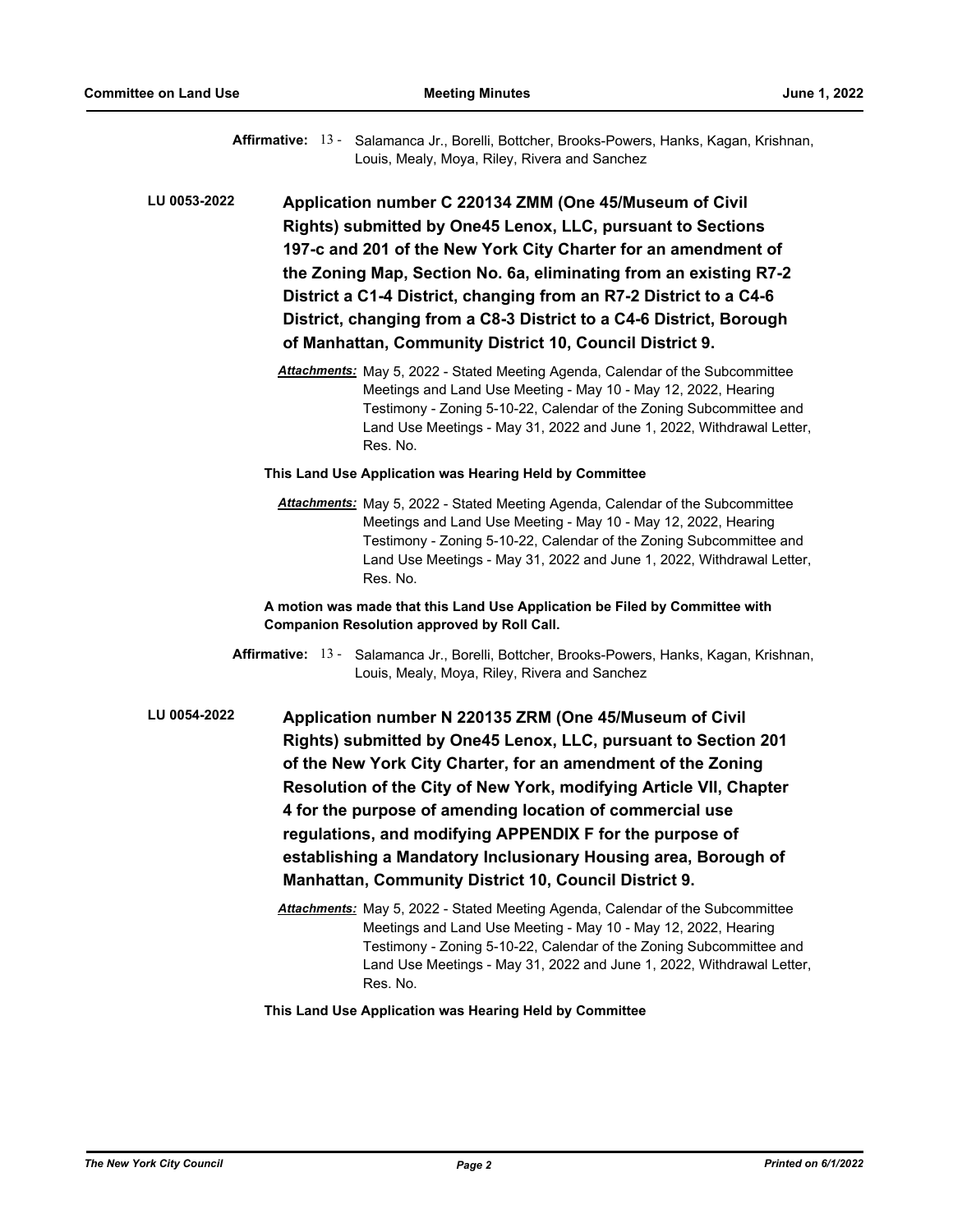Affirmative: 13 - Salamanca Jr., Borelli, Bottcher, Brooks-Powers, Hanks, Kagan, Krishnan, Louis, Mealy, Moya, Riley, Rivera and Sanchez

**Application number C 220134 ZMM (One 45/Museum of Civil Rights) submitted by One45 Lenox, LLC, pursuant to Sections 197-c and 201 of the New York City Charter for an amendment of the Zoning Map, Section No. 6a, eliminating from an existing R7-2 District a C1-4 District, changing from an R7-2 District to a C4-6 District, changing from a C8-3 District to a C4-6 District, Borough of Manhattan, Community District 10, Council District 9. LU 0053-2022**

> *Attachments:* May 5, 2022 - Stated Meeting Agenda, Calendar of the Subcommittee Meetings and Land Use Meeting - May 10 - May 12, 2022, Hearing Testimony - Zoning 5-10-22, Calendar of the Zoning Subcommittee and Land Use Meetings - May 31, 2022 and June 1, 2022, Withdrawal Letter, Res. No.

#### **This Land Use Application was Hearing Held by Committee**

*Attachments:* May 5, 2022 - Stated Meeting Agenda, Calendar of the Subcommittee Meetings and Land Use Meeting - May 10 - May 12, 2022, Hearing Testimony - Zoning 5-10-22, Calendar of the Zoning Subcommittee and Land Use Meetings - May 31, 2022 and June 1, 2022, Withdrawal Letter, Res. No.

**A motion was made that this Land Use Application be Filed by Committee with Companion Resolution approved by Roll Call.**

- Affirmative: 13 Salamanca Jr., Borelli, Bottcher, Brooks-Powers, Hanks, Kagan, Krishnan, Louis, Mealy, Moya, Riley, Rivera and Sanchez
- **Application number N 220135 ZRM (One 45/Museum of Civil Rights) submitted by One45 Lenox, LLC, pursuant to Section 201 of the New York City Charter, for an amendment of the Zoning Resolution of the City of New York, modifying Article VII, Chapter 4 for the purpose of amending location of commercial use regulations, and modifying APPENDIX F for the purpose of establishing a Mandatory Inclusionary Housing area, Borough of Manhattan, Community District 10, Council District 9. LU 0054-2022**
	- *Attachments:* May 5, 2022 Stated Meeting Agenda, Calendar of the Subcommittee Meetings and Land Use Meeting - May 10 - May 12, 2022, Hearing Testimony - Zoning 5-10-22, Calendar of the Zoning Subcommittee and Land Use Meetings - May 31, 2022 and June 1, 2022, Withdrawal Letter, Res. No.

**This Land Use Application was Hearing Held by Committee**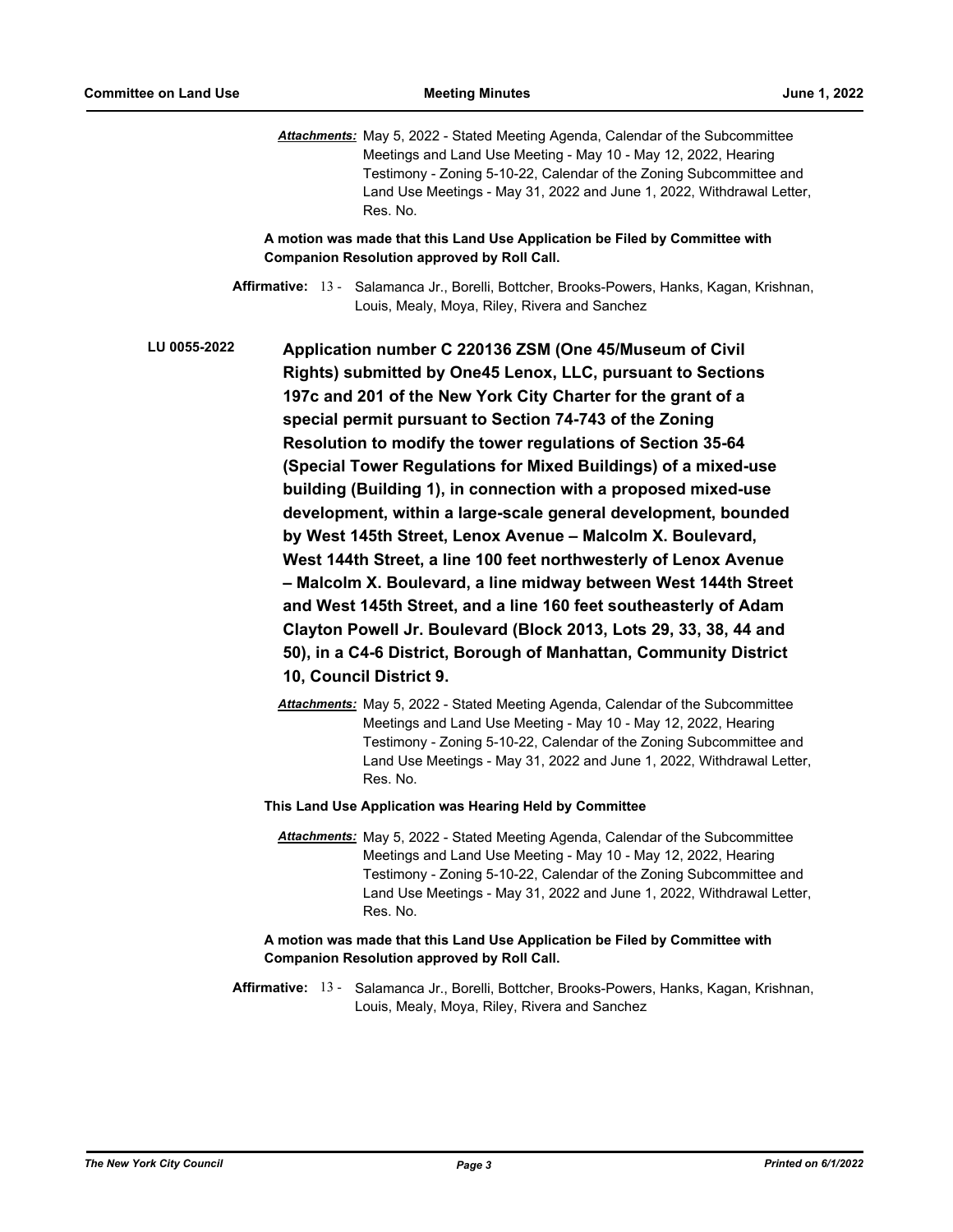*Attachments:* May 5, 2022 - Stated Meeting Agenda, Calendar of the Subcommittee Meetings and Land Use Meeting - May 10 - May 12, 2022, Hearing Testimony - Zoning 5-10-22, Calendar of the Zoning Subcommittee and Land Use Meetings - May 31, 2022 and June 1, 2022, Withdrawal Letter, Res. No.

**A motion was made that this Land Use Application be Filed by Committee with Companion Resolution approved by Roll Call.**

Affirmative: 13 - Salamanca Jr., Borelli, Bottcher, Brooks-Powers, Hanks, Kagan, Krishnan, Louis, Mealy, Moya, Riley, Rivera and Sanchez

**Application number C 220136 ZSM (One 45/Museum of Civil Rights) submitted by One45 Lenox, LLC, pursuant to Sections 197c and 201 of the New York City Charter for the grant of a special permit pursuant to Section 74-743 of the Zoning Resolution to modify the tower regulations of Section 35-64 (Special Tower Regulations for Mixed Buildings) of a mixed-use building (Building 1), in connection with a proposed mixed-use development, within a large-scale general development, bounded by West 145th Street, Lenox Avenue – Malcolm X. Boulevard, West 144th Street, a line 100 feet northwesterly of Lenox Avenue – Malcolm X. Boulevard, a line midway between West 144th Street and West 145th Street, and a line 160 feet southeasterly of Adam Clayton Powell Jr. Boulevard (Block 2013, Lots 29, 33, 38, 44 and 50), in a C4-6 District, Borough of Manhattan, Community District 10, Council District 9. LU 0055-2022**

> *Attachments:* May 5, 2022 - Stated Meeting Agenda, Calendar of the Subcommittee Meetings and Land Use Meeting - May 10 - May 12, 2022, Hearing Testimony - Zoning 5-10-22, Calendar of the Zoning Subcommittee and Land Use Meetings - May 31, 2022 and June 1, 2022, Withdrawal Letter, Res. No.

#### **This Land Use Application was Hearing Held by Committee**

*Attachments:* May 5, 2022 - Stated Meeting Agenda, Calendar of the Subcommittee Meetings and Land Use Meeting - May 10 - May 12, 2022, Hearing Testimony - Zoning 5-10-22, Calendar of the Zoning Subcommittee and Land Use Meetings - May 31, 2022 and June 1, 2022, Withdrawal Letter, Res. No.

## **A motion was made that this Land Use Application be Filed by Committee with Companion Resolution approved by Roll Call.**

Affirmative: 13 - Salamanca Jr., Borelli, Bottcher, Brooks-Powers, Hanks, Kagan, Krishnan, Louis, Mealy, Moya, Riley, Rivera and Sanchez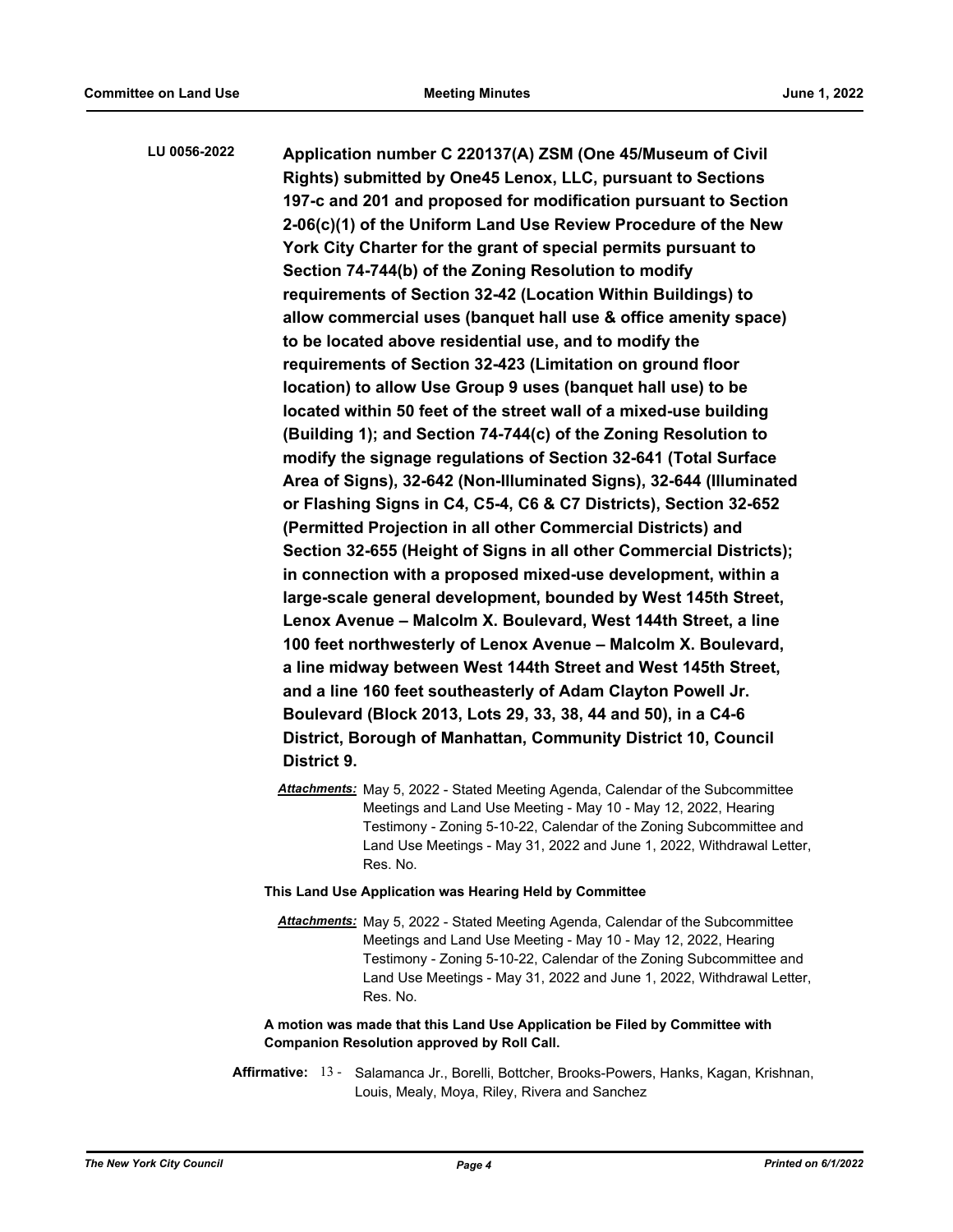**Application number C 220137(A) ZSM (One 45/Museum of Civil Rights) submitted by One45 Lenox, LLC, pursuant to Sections 197-c and 201 and proposed for modification pursuant to Section 2-06(c)(1) of the Uniform Land Use Review Procedure of the New York City Charter for the grant of special permits pursuant to Section 74-744(b) of the Zoning Resolution to modify requirements of Section 32-42 (Location Within Buildings) to allow commercial uses (banquet hall use & office amenity space) to be located above residential use, and to modify the requirements of Section 32-423 (Limitation on ground floor location) to allow Use Group 9 uses (banquet hall use) to be located within 50 feet of the street wall of a mixed-use building (Building 1); and Section 74-744(c) of the Zoning Resolution to modify the signage regulations of Section 32-641 (Total Surface Area of Signs), 32-642 (Non-Illuminated Signs), 32-644 (Illuminated or Flashing Signs in C4, C5-4, C6 & C7 Districts), Section 32-652 (Permitted Projection in all other Commercial Districts) and Section 32-655 (Height of Signs in all other Commercial Districts); in connection with a proposed mixed-use development, within a large-scale general development, bounded by West 145th Street, Lenox Avenue – Malcolm X. Boulevard, West 144th Street, a line 100 feet northwesterly of Lenox Avenue – Malcolm X. Boulevard, a line midway between West 144th Street and West 145th Street, and a line 160 feet southeasterly of Adam Clayton Powell Jr. Boulevard (Block 2013, Lots 29, 33, 38, 44 and 50), in a C4-6 District, Borough of Manhattan, Community District 10, Council District 9. LU 0056-2022**

> *Attachments:* May 5, 2022 - Stated Meeting Agenda, Calendar of the Subcommittee Meetings and Land Use Meeting - May 10 - May 12, 2022, Hearing Testimony - Zoning 5-10-22, Calendar of the Zoning Subcommittee and Land Use Meetings - May 31, 2022 and June 1, 2022, Withdrawal Letter, Res. No.

### **This Land Use Application was Hearing Held by Committee**

*Attachments:* May 5, 2022 - Stated Meeting Agenda, Calendar of the Subcommittee Meetings and Land Use Meeting - May 10 - May 12, 2022, Hearing Testimony - Zoning 5-10-22, Calendar of the Zoning Subcommittee and Land Use Meetings - May 31, 2022 and June 1, 2022, Withdrawal Letter, Res. No.

# **A motion was made that this Land Use Application be Filed by Committee with Companion Resolution approved by Roll Call.**

Affirmative: 13 - Salamanca Jr., Borelli, Bottcher, Brooks-Powers, Hanks, Kagan, Krishnan, Louis, Mealy, Moya, Riley, Rivera and Sanchez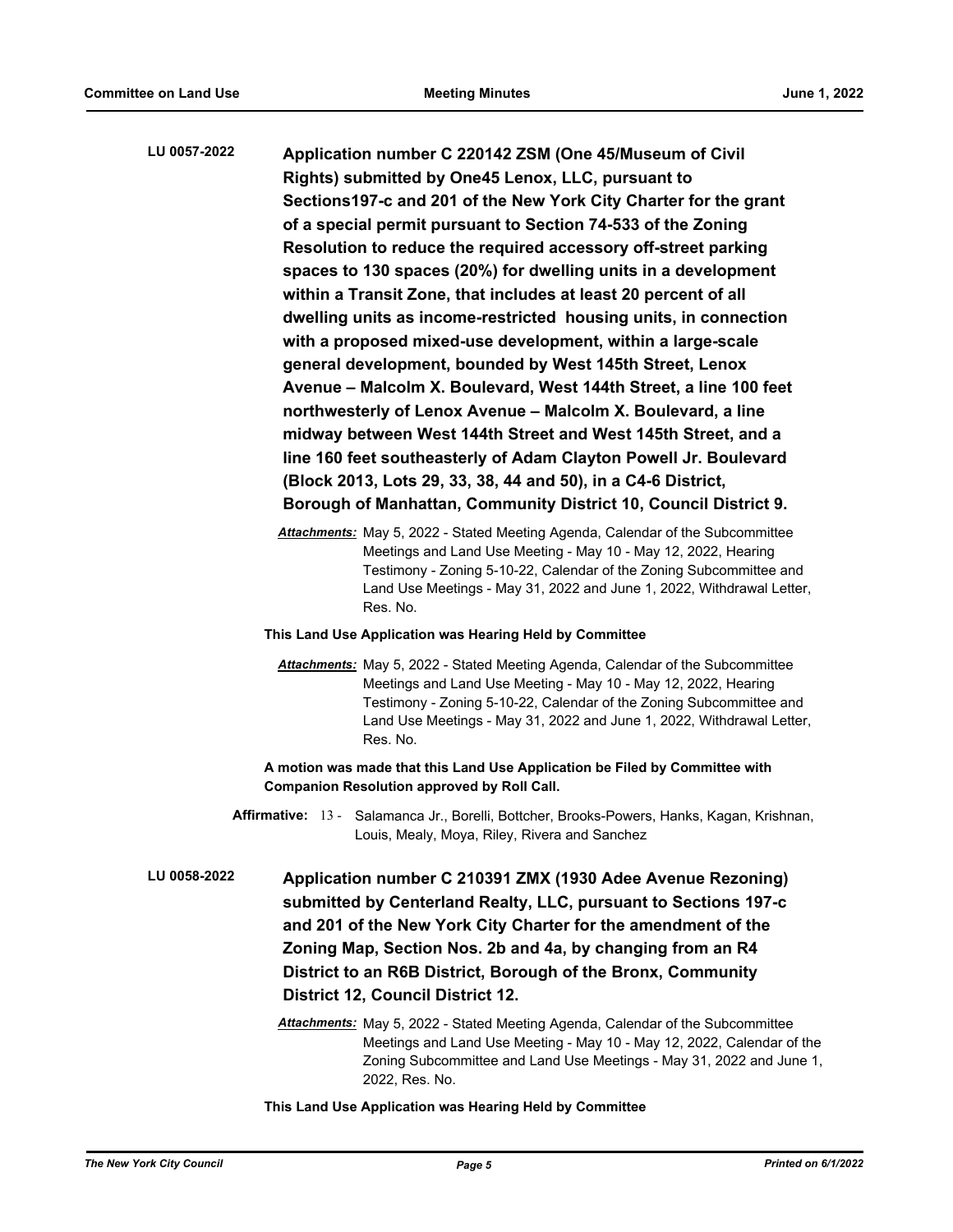**Application number C 220142 ZSM (One 45/Museum of Civil Rights) submitted by One45 Lenox, LLC, pursuant to Sections197-c and 201 of the New York City Charter for the grant of a special permit pursuant to Section 74-533 of the Zoning Resolution to reduce the required accessory off-street parking spaces to 130 spaces (20%) for dwelling units in a development within a Transit Zone, that includes at least 20 percent of all dwelling units as income-restricted housing units, in connection with a proposed mixed-use development, within a large-scale general development, bounded by West 145th Street, Lenox Avenue – Malcolm X. Boulevard, West 144th Street, a line 100 feet northwesterly of Lenox Avenue – Malcolm X. Boulevard, a line midway between West 144th Street and West 145th Street, and a line 160 feet southeasterly of Adam Clayton Powell Jr. Boulevard (Block 2013, Lots 29, 33, 38, 44 and 50), in a C4-6 District, Borough of Manhattan, Community District 10, Council District 9. LU 0057-2022**

> *Attachments:* May 5, 2022 - Stated Meeting Agenda, Calendar of the Subcommittee Meetings and Land Use Meeting - May 10 - May 12, 2022, Hearing Testimony - Zoning 5-10-22, Calendar of the Zoning Subcommittee and Land Use Meetings - May 31, 2022 and June 1, 2022, Withdrawal Letter, Res. No.

#### **This Land Use Application was Hearing Held by Committee**

*Attachments:* May 5, 2022 - Stated Meeting Agenda, Calendar of the Subcommittee Meetings and Land Use Meeting - May 10 - May 12, 2022, Hearing Testimony - Zoning 5-10-22, Calendar of the Zoning Subcommittee and Land Use Meetings - May 31, 2022 and June 1, 2022, Withdrawal Letter, Res. No.

**A motion was made that this Land Use Application be Filed by Committee with Companion Resolution approved by Roll Call.**

- Affirmative: 13 Salamanca Jr., Borelli, Bottcher, Brooks-Powers, Hanks, Kagan, Krishnan, Louis, Mealy, Moya, Riley, Rivera and Sanchez
- **Application number C 210391 ZMX (1930 Adee Avenue Rezoning) submitted by Centerland Realty, LLC, pursuant to Sections 197-c and 201 of the New York City Charter for the amendment of the Zoning Map, Section Nos. 2b and 4a, by changing from an R4 District to an R6B District, Borough of the Bronx, Community District 12, Council District 12. LU 0058-2022**
	- *Attachments:* May 5, 2022 Stated Meeting Agenda, Calendar of the Subcommittee Meetings and Land Use Meeting - May 10 - May 12, 2022, Calendar of the Zoning Subcommittee and Land Use Meetings - May 31, 2022 and June 1, 2022, Res. No.

#### **This Land Use Application was Hearing Held by Committee**